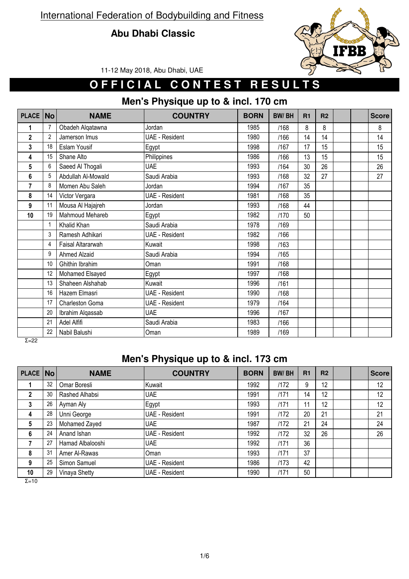#### **Abu Dhabi Classic**



11-12 May 2018, Abu Dhabi, UAE

## **OFFICIAL CONTEST RESULTS**

### **Men's Physique up to & incl. 170 cm**

| PLACE                   | <b>No</b>      | <b>NAME</b>         | <b>COUNTRY</b>        | <b>BORN</b> | <b>BW/BH</b> | R1 | R <sub>2</sub> |  | <b>Score</b> |
|-------------------------|----------------|---------------------|-----------------------|-------------|--------------|----|----------------|--|--------------|
| 1                       | 7              | Obadeh Alqatawna    | Jordan                | 1985        | /168         | 8  | 8              |  | 8            |
| $\overline{\mathbf{c}}$ | $\overline{2}$ | Jamerson Imus       | <b>UAE - Resident</b> | 1980        | /166         | 14 | 14             |  | 14           |
| 3                       | 18             | Eslam Yousif        | Egypt                 | 1998        | /167         | 17 | 15             |  | 15           |
| 4                       | 15             | Shane Alto          | Philippines           | 1986        | /166         | 13 | 15             |  | 15           |
| 5                       | 6              | Saeed Al Thogali    | <b>UAE</b>            | 1993        | /164         | 30 | 26             |  | 26           |
| 6                       | 5              | Abdullah Al-Mowald  | Saudi Arabia          | 1993        | /168         | 32 | 27             |  | 27           |
| 7                       | 8              | Momen Abu Saleh     | Jordan                | 1994        | /167         | 35 |                |  |              |
| 8                       | 14             | Victor Vergara      | <b>UAE - Resident</b> | 1981        | /168         | 35 |                |  |              |
| 9                       | 11             | Mousa Al Hajajreh   | Jordan                | 1993        | /168         | 44 |                |  |              |
| 10                      | 19             | Mahmoud Mehareb     | Egypt                 | 1982        | /170         | 50 |                |  |              |
|                         | $\mathbf{1}$   | Khalid Khan         | Saudi Arabia          | 1978        | /169         |    |                |  |              |
|                         | $\mathfrak{Z}$ | Ramesh Adhikari     | <b>UAE - Resident</b> | 1982        | /166         |    |                |  |              |
|                         | 4              | Faisal Altararwah   | Kuwait                | 1998        | /163         |    |                |  |              |
|                         | 9              | <b>Ahmed Alzaid</b> | Saudi Arabia          | 1994        | /165         |    |                |  |              |
|                         | 10             | Ghithin Ibrahim     | Oman                  | 1991        | /168         |    |                |  |              |
|                         | 12             | Mohamed Elsayed     | Egypt                 | 1997        | /168         |    |                |  |              |
|                         | 13             | Shaheen Alshahab    | Kuwait                | 1996        | /161         |    |                |  |              |
|                         | 16             | Hazem Elmasri       | <b>UAE - Resident</b> | 1990        | /168         |    |                |  |              |
|                         | 17             | Charleston Goma     | <b>UAE - Resident</b> | 1979        | /164         |    |                |  |              |
|                         | 20             | Ibrahim Alqassab    | <b>UAE</b>            | 1996        | /167         |    |                |  |              |
|                         | 21             | Adel Alfifi         | Saudi Arabia          | 1983        | /166         |    |                |  |              |
|                         | 22             | Nabil Balushi       | Oman                  | 1989        | /169         |    |                |  |              |
| $5 - 22$                |                |                     |                       |             |              |    |                |  |              |

Σ=22

#### **Men's Physique up to & incl. 173 cm**

| PLACE        | <b>No</b> | <b>NAME</b>      | <b>COUNTRY</b> | <b>BORN</b> | <b>BW/BH</b> | R <sub>1</sub> | R <sub>2</sub> |  | <b>Score</b> |
|--------------|-----------|------------------|----------------|-------------|--------------|----------------|----------------|--|--------------|
|              | 32        | Omar Boresli     | Kuwait         | 1992        | /172         | 9              | 12             |  | 12           |
| $\mathbf{2}$ | 30        | Rashed Alhabsi   | <b>UAE</b>     | 1991        | 1171         | 14             | 12             |  | 12           |
| 3            | 26        | Ayman Aly        | Egypt          | 1993        | 1171         | 11             | 12             |  | 12           |
| 4            | 28        | Unni George      | UAE - Resident | 1991        | /172         | 20             | 21             |  | 21           |
| 5            | 23        | Mohamed Zayed    | <b>UAE</b>     | 1987        | /172         | 21             | 24             |  | 24           |
| 6            | 24        | Anand Ishan      | UAE - Resident | 1992        | 1172         | 32             | 26             |  | 26           |
|              | 27        | Hamad Albalooshi | <b>UAE</b>     | 1992        | 1171         | 36             |                |  |              |
| 8            | 31        | Amer Al-Rawas    | <b>Oman</b>    | 1993        | 1171         | 37             |                |  |              |
| 9            | 25        | Simon Samuel     | UAE - Resident | 1986        | /173         | 42             |                |  |              |
| 10           | 29        | Vinaya Shetty    | UAE - Resident | 1990        | /171         | 50             |                |  |              |

Σ=10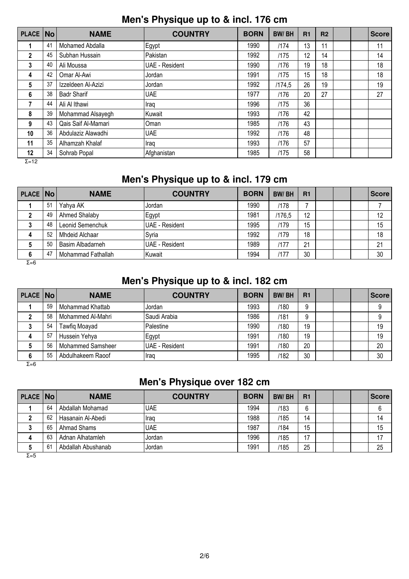#### **Men's Physique up to & incl. 176 cm**

| <b>PLACE</b>        | <b>No</b> | <b>NAME</b>         | <b>COUNTRY</b>        | <b>BORN</b> | <b>BW/BH</b> | R1 | R <sub>2</sub> |  | <b>Score</b> |
|---------------------|-----------|---------------------|-----------------------|-------------|--------------|----|----------------|--|--------------|
|                     | 41        | Mohamed Abdalla     | Egypt                 | 1990        | 1174         | 13 | 11             |  | 11           |
| 2                   | 45        | Subhan Hussain      | Pakistan              | 1992        | /175         | 12 | 14             |  | 14           |
| 3                   | 40        | Ali Moussa          | <b>UAE</b> - Resident | 1990        | /176         | 19 | 18             |  | 18           |
| 4                   | 42        | Omar Al-Awi         | Jordan                | 1991        | /175         | 15 | 18             |  | 18           |
| 5                   | 37        | Izzeldeen Al-Azizi  | Jordan                | 1992        | /174.5       | 26 | 19             |  | 19           |
| 6                   | 38        | <b>Badr Sharif</b>  | <b>UAE</b>            | 1977        | /176         | 20 | 27             |  | 27           |
| 7                   | 44        | Ali Al Ithawi       | Iraq                  | 1996        | /175         | 36 |                |  |              |
| 8                   | 39        | Mohammad Alsayegh   | Kuwait                | 1993        | /176         | 42 |                |  |              |
| 9                   | 43        | Qais Saif Al-Mamari | Oman                  | 1985        | /176         | 43 |                |  |              |
| 10                  | 36        | Abdulaziz Alawadhi  | <b>UAE</b>            | 1992        | /176         | 48 |                |  |              |
| 11                  | 35        | Alhamzah Khalaf     | Iraq                  | 1993        | /176         | 57 |                |  |              |
| 12<br>$\sim$ $\sim$ | 34        | Sohrab Popal        | Afghanistan           | 1985        | /175         | 58 |                |  |              |

Σ=12

### **Men's Physique up to & incl. 179 cm**

| PLACE No     |    | <b>NAME</b>        | <b>COUNTRY</b> | <b>BORN</b> | <b>BW/BH</b> | R1 |  | <b>Score</b> |
|--------------|----|--------------------|----------------|-------------|--------------|----|--|--------------|
|              | 51 | Yahya AK           | Jordan         | 1990        | /178         |    |  |              |
|              | 49 | Ahmed Shalaby      | Egypt          | 1981        | /176.5       | 12 |  | 12           |
|              | 48 | Leonid Semenchuk   | UAE - Resident | 1995        | /179         | 15 |  | 15           |
| 4            | 52 | Mhdeid Alchaar     | Syria          | 1992        | /179         | 18 |  | 18           |
|              | 50 | Basim Albadarneh   | UAE - Resident | 1989        | /177         | 21 |  | 21           |
| 6            | 47 | Mohammad Fathallah | Kuwait         | 1994        | 1177         | 30 |  | 30           |
| $\Sigma = 6$ |    |                    |                |             |              |    |  |              |

#### **Men's Physique up to & incl. 182 cm**

| PLACE No     |    | <b>NAME</b>       | <b>COUNTRY</b> | <b>BORN</b> | <b>BW/BH</b> | R <sub>1</sub> |  | <b>Score</b> |
|--------------|----|-------------------|----------------|-------------|--------------|----------------|--|--------------|
|              | 59 | Mohammad Khattab  | IJordan        | 1993        | /180         | 9              |  | 9            |
|              | 58 | Mohammed Al-Mahri | Saudi Arabia   | 1986        | /181         | 9              |  |              |
|              | 54 | Tawfiq Moayad     | Palestine      | 1990        | /180         | 19             |  | 19           |
| 4            | 57 | Hussein Yehya     | Egypt          | 1991        | /180         | 19             |  | 19           |
|              | 56 | Mohammed Samsheer | UAE - Resident | 1991        | /180         | 20             |  | 20           |
| 6            | 55 | Abdulhakeem Raoof | Iraq           | 1995        | /182         | 30             |  | 30           |
| $\Sigma = 6$ |    |                   |                |             |              |                |  |              |

### **Men's Physique over 182 cm**

| PLACE   No |    | <b>NAME</b>        | <b>COUNTRY</b> | <b>BORN</b> | <b>BW/BH</b> | R1 |  | ∣Score ∣ |
|------------|----|--------------------|----------------|-------------|--------------|----|--|----------|
|            | 64 | Abdallah Mohamad   | <b>IUAE</b>    | 1994        | /183         | 6  |  |          |
|            | 62 | Hasanain Al-Abedi  | Ilraq          | 1988        | /185         | 14 |  | 14       |
|            | 65 | Ahmad Shams        | luae           | 1987        | /184         | 15 |  | 15       |
| 4          | 63 | Adnan Alhatamleh   | IJordan.       | 1996        | /185         | 17 |  | 17       |
|            | 61 | Abdallah Abushanab | ,Jordan        | 1991        | /185         | 25 |  | 25       |

Σ=5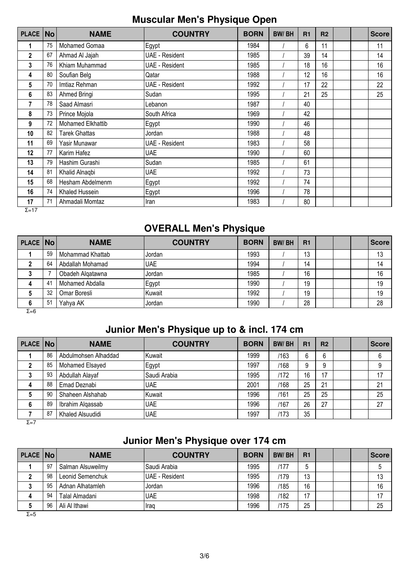#### **Muscular Men's Physique Open**

| <b>PLACE</b> | <b>No</b> | <b>NAME</b>          | <b>COUNTRY</b>        | <b>BORN</b> | <b>BW/BH</b> | R <sub>1</sub> | R <sub>2</sub> |  | <b>Score</b> |
|--------------|-----------|----------------------|-----------------------|-------------|--------------|----------------|----------------|--|--------------|
| 1            | 75        | Mohamed Gomaa        | <b>IEgypt</b>         | 1984        |              | 6              | 11             |  | 11           |
| $\mathbf 2$  | 67        | Ahmad Al Jajah       | <b>UAE</b> - Resident | 1985        |              | 39             | 14             |  | 14           |
| 3            | 76        | Khiam Muhammad       | <b>UAE</b> - Resident | 1985        |              | 18             | 16             |  | 16           |
| 4            | 80        | Soufian Belg         | Qatar                 | 1988        |              | 12             | 16             |  | 16           |
| 5            | 70        | Imtiaz Rehman        | <b>UAE</b> - Resident | 1992        |              | 17             | 22             |  | 22           |
| 6            | 83        | Ahmed Bringi         | Sudan                 | 1995        |              | 21             | 25             |  | 25           |
| 7            | 78        | Saad Almasri         | Lebanon               | 1987        |              | 40             |                |  |              |
| 8            | 73        | Prince Mojola        | South Africa          | 1969        |              | 42             |                |  |              |
| 9            | 72        | Mohamed Elkhattib    | Egypt                 | 1990        |              | 46             |                |  |              |
| 10           | 82        | <b>Tarek Ghattas</b> | Jordan                | 1988        |              | 48             |                |  |              |
| 11           | 69        | Yasir Munawar        | UAE - Resident        | 1983        |              | 58             |                |  |              |
| 12           | 77        | Karim Hafez          | <b>UAE</b>            | 1990        |              | 60             |                |  |              |
| 13           | 79        | Hashim Gurashi       | Sudan                 | 1985        |              | 61             |                |  |              |
| 14           | 81        | Khalid Alnaqbi       | <b>UAE</b>            | 1992        |              | 73             |                |  |              |
| 15           | 68        | Hesham Abdelmenm     | Egypt                 | 1992        |              | 74             |                |  |              |
| 16           | 74        | Khaled Hussein       | Egypt                 | 1996        |              | 78             |                |  |              |
| 17           | 71        | Ahmadali Momtaz      | Iran                  | 1983        |              | 80             |                |  |              |

 $\overline{Σ=17}$ 

#### **OVERALL Men's Physique**

| PLACE   No |    | <b>NAME</b>      | <b>COUNTRY</b> | <b>BORN</b> | <b>BW/BH</b> | R1 |  | <b>Score</b> |
|------------|----|------------------|----------------|-------------|--------------|----|--|--------------|
|            | 59 | Mohammad Khattab | <b>Jordan</b>  | 1993        |              | 13 |  | 13           |
|            | 64 | Abdallah Mohamad | <b>UAE</b>     | 1994        |              | 14 |  | 14           |
|            |    | Obadeh Algatawna | Jordan         | 1985        |              | 16 |  | 16           |
| 4          | 41 | Mohamed Abdalla  | Egypt          | 1990        |              | 19 |  | 19           |
|            | 32 | Omar Boresli     | Kuwait         | 1992        |              | 19 |  | 19           |
|            | 51 | Yahya AK         | Jordan         | 1990        |              | 28 |  | 28           |

 $\overline{Σ=6}$ 

### **Junior Men's Physique up to & incl. 174 cm**

| PLACE No |    | <b>NAME</b>          | <b>COUNTRY</b> | <b>BORN</b> | <b>BW/BH</b> | R <sub>1</sub> | R <sub>2</sub> |  | <b>Score</b> |
|----------|----|----------------------|----------------|-------------|--------------|----------------|----------------|--|--------------|
|          | 86 | Abdulmohsen Alhaddad | lKuwait        | 1999        | /163         | 6              | 6              |  | 6            |
|          | 85 | Mohamed Elsayed      | Egypt          | 1997        | /168         | 9              | 9              |  | 9            |
|          | 93 | Abdullah Alayaf      | Saudi Arabia   | 1995        | /172         | 16             | 17             |  | 17           |
| 4        | 88 | Emad Deznabi         | <b>UAE</b>     | 2001        | /168         | 25             | 21             |  | 21           |
|          | 90 | Shaheen Alshahab     | Kuwait         | 1996        | /161         | 25             | 25             |  | 25           |
|          | 89 | Ibrahim Algassab     | <b>UAE</b>     | 1996        | /167         | 26             | 27             |  | 27           |
|          | 87 | Khaled Alsuudidi     | <b>UAE</b>     | 1997        | /173         | 35             |                |  |              |

 $Σ=7$ 

# **Junior Men's Physique over 174 cm**

| PLACE No |    | <b>NAME</b>       | <b>COUNTRY</b> | <b>BORN</b> | <b>BW/BH</b> | R <sub>1</sub> |  | Score |
|----------|----|-------------------|----------------|-------------|--------------|----------------|--|-------|
|          | 97 | Salman Alsuweilmy | ISaudi Arabia  | 1995        | /177         | ხ              |  |       |
|          | 98 | Leonid Semenchuk  | UAE - Resident | 1995        | /179         | 13             |  | 13    |
| J        | 95 | Adnan Alhatamleh  | Jordan         | 1996        | /185         | 16             |  | 16    |
|          | 94 | Talal Almadani    | <b>UAE</b>     | 1998        | /182         | 17             |  | 17    |
|          | 96 | Ali Al Ithawi     | Iraq           | 1996        | /175         | 25             |  | 25    |

Σ=5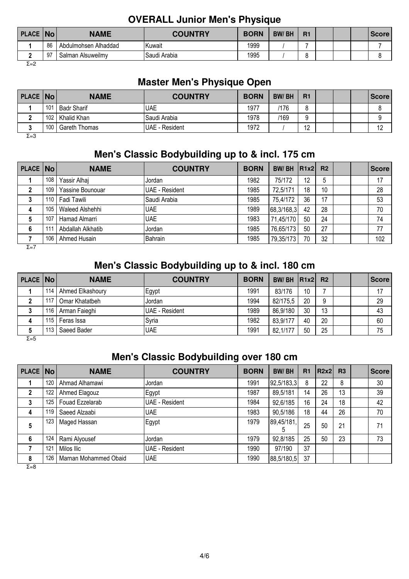#### **OVERALL Junior Men's Physique**

| <b>PLACE No</b> |    | <b>NAME</b>          | <b>COUNTRY</b> | <b>BORN</b> | <b>BW/BH</b> | R1 |  | <b>Score</b> |
|-----------------|----|----------------------|----------------|-------------|--------------|----|--|--------------|
|                 | 86 | Abdulmohsen Alhaddad | IKuwait        | 1999        |              |    |  |              |
|                 | 97 | Salman Alsuweilmv    | Saudi Arabia   | 1995        |              |    |  |              |

Σ=2

### **Master Men's Physique Open**

| PLACE   No |                  | <b>NAME</b>          | <b>COUNTRY</b>  | <b>BORN</b> | <b>BW/BH</b> | R1         |  | <b>Score</b> |
|------------|------------------|----------------------|-----------------|-------------|--------------|------------|--|--------------|
|            | 101              | <b>Badr Sharif</b>   | <b>UAE</b>      | 1977        | /176         |            |  |              |
|            | 102 <sub>1</sub> | l Khalid Khan        | lSaudi Arabia   | 1978        | /169         |            |  |              |
|            | 100              | <b>Gareth Thomas</b> | IUAE - Resident | 1972        |              | $\sqrt{2}$ |  | ٠            |

Σ=3

#### **Men's Classic Bodybuilding up to & incl. 175 cm**

| <b>PLACE No</b> |     | <b>NAME</b>       | <b>COUNTRY</b> | <b>BORN</b> | BW/BH      | R1x2 | R <sub>2</sub> |  | <b>Score</b> |
|-----------------|-----|-------------------|----------------|-------------|------------|------|----------------|--|--------------|
|                 | 108 | Yassir Alhaj      | <b>Jordan</b>  | 1982        | 75/172     | 12   | 5              |  | 17           |
|                 | 109 | Yassine Bounouar  | UAE - Resident | 1985        | 72.5/171   | 18   | 10             |  | 28           |
| 3               | 110 | Fadi Tawili       | Saudi Arabia   | 1985        | 75,4/172   | 36   | 17             |  | 53           |
| 4               | 105 | Waleed Alshehhi   | IUAE           | 1989        | 68,3/168,3 | 42   | 28             |  | 70           |
| 5               | 107 | Hamad Almarri     | <b>UAE</b>     | 1983        | 71.45/170  | 50   | 24             |  | 74           |
| 6               | 111 | Abdallah Alkhatib | Jordan         | 1985        | 76,65/173  | 50   | 27             |  | 77           |
|                 | 106 | Ahmed Husain      | Bahrain        | 1985        | 79,35/173  | 70   | 32             |  | 102          |

 $Σ=7$ 

### **Men's Classic Bodybuilding up to & incl. 180 cm**

| PLACE No |       | <b>NAME</b>      | <b>COUNTRY</b> | <b>BORN</b> | BW/BH $ R1x2 $ R2 |    |    |  | <b>Score</b> |
|----------|-------|------------------|----------------|-------------|-------------------|----|----|--|--------------|
|          | 114   | Ahmed Elkashoury | Egypt          | 1991        | 83/176            | 10 |    |  | 17           |
|          | 117   | Omar Khatatbeh   | IJordan        | 1994        | 82/175.5          | 20 | 9  |  | 29           |
|          | 116 l | Arman Faieghi    | UAE - Resident | 1989        | 86,9/180          | 30 | 13 |  | 43           |
|          | 115 I | Feras Issa       | ISvria         | 1982        | 83,9/177          | 40 | 20 |  | 60           |
|          | 113   | Saeed Bader      | <b>IUAE</b>    | 1991        | 82,1/177          | 50 | 25 |  | 75           |
| $ -$     |       |                  |                |             |                   |    |    |  |              |

Σ=5

### **Men's Classic Bodybuilding over 180 cm**

| PLACE No     |     | <b>NAME</b>           | <b>COUNTRY</b>        | <b>BORN</b> | <b>BW/BH</b> | R <sub>1</sub> | <b>R2x21</b> | R <sub>3</sub> | <b>Score</b> |
|--------------|-----|-----------------------|-----------------------|-------------|--------------|----------------|--------------|----------------|--------------|
|              | 120 | Ahmad Alhamawi        | Jordan                | 1991        | 92,5/183,3   | 8              | 22           | 8              | 30           |
| 2            | 122 | Ahmed Elagouz         | Egypt                 | 1987        | 89,5/181     | 14             | 26           | 13             | 39           |
| 3            | 125 | Fouad Ezzelarab       | UAE - Resident        | 1984        | 92,6/185     | 16             | 24           | 18             | 42           |
| 4            | 119 | Saeed Alzaabi         | <b>UAE</b>            | 1983        | 90,5/186     | 18             | 44           | 26             | 70           |
| 5            | 123 | Maged Hassan          | Egypt                 | 1979        | 89,45/181,   | 25             | 50           | 21             | 71           |
| 6            | 124 | Rami Alyousef         | Jordan                | 1979        | 92,8/185     | 25             | 50           | 23             | 73           |
|              | 121 | Milos Ilic            | <b>UAE</b> - Resident | 1990        | 97/190       | 37             |              |                |              |
| 8            | 126 | Marnan Mohammed Obaid | UAE                   | 1990        | 88,5/180,5   | 37             |              |                |              |
| $\Sigma = 8$ |     |                       |                       |             |              |                |              |                |              |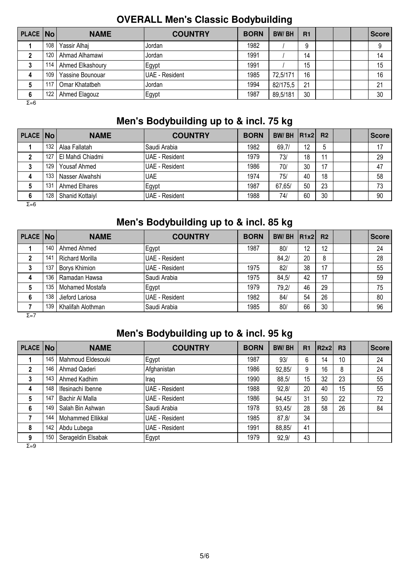|            |     |                  |                |             | ັ            |                |  |              |
|------------|-----|------------------|----------------|-------------|--------------|----------------|--|--------------|
| PLACE   No |     | <b>NAME</b>      | <b>COUNTRY</b> | <b>BORN</b> | <b>BW/BH</b> | R <sub>1</sub> |  | <b>Score</b> |
|            | 108 | Yassir Alhaj     | Jordan         | 1982        |              | 9              |  |              |
|            | 120 | Ahmad Alhamawi   | Jordan         | 1991        |              | 14             |  | 14           |
|            | 114 | Ahmed Elkashoury | Egypt          | 1991        |              | 15             |  | 15           |
| 4          | 109 | Yassine Bounouar | UAE - Resident | 1985        | 72,5/171     | 16             |  | 16           |
|            | 117 | Omar Khatatbeh   | Jordan         | 1994        | 82/175.5     | 21             |  | 21           |
| 6          | 122 | Ahmed Elagouz    | Egypt          | 1987        | 89,5/181     | 30             |  | 30           |
| Σ=6        |     |                  |                |             |              |                |  |              |

#### **OVERALL Men's Classic Bodybuilding**

### **Men's Bodybuilding up to & incl. 75 kg**

| PLACE No |                  | <b>NAME</b>      | <b>COUNTRY</b>         | <b>BORN</b> | BW/BH $ R1x2 $ |    | R <sub>2</sub> |  | <b>Score</b> |
|----------|------------------|------------------|------------------------|-------------|----------------|----|----------------|--|--------------|
|          | 132 <sub>1</sub> | Alaa Fallatah    | Saudi Arabia           | 1982        | 69,7/          | 12 | b              |  | 17           |
|          | 127              | El Mahdi Chiadmi | UAE - Resident         | 1979        | 73/            | 18 | 11             |  | 29           |
| J        | 129.             | Yousaf Ahmed     | <b>IUAE - Resident</b> | 1986        | 70/            | 30 | 17             |  | 47           |
| 4        | 133              | Nasser Alwahshi  | <b>UAE</b>             | 1974        | 75/            | 40 | 18             |  | 58           |
|          | 131              | Ahmed Elhares    | Egypt                  | 1987        | 67,65/         | 50 | 23             |  | 73           |
| 6        | 128              | Shanid Kottaiyl  | UAE - Resident         | 1988        | 74/            | 60 | 30             |  | 90           |

 $Σ=6$ 

### **Men's Bodybuilding up to & incl. 85 kg**

| PLACE No     |     | <b>NAME</b>       | <b>COUNTRY</b> | <b>BORN</b> | <b>BW/BH</b> | R1x2 | R <sub>2</sub> |  | <b>Score</b> |
|--------------|-----|-------------------|----------------|-------------|--------------|------|----------------|--|--------------|
|              | 140 | Ahmed Ahmed       | Egypt          | 1987        | 80/          | 12   | 12             |  | 24           |
| $\mathbf{2}$ | 141 | Richard Morilla   | UAE - Resident |             | 84,2/        | 20   | 8              |  | 28           |
|              | 137 | Borys Khimion     | UAE - Resident | 1975        | 82/          | 38   | 17             |  | 55           |
| 4            | 136 | Ramadan Hawsa     | Saudi Arabia   | 1975        | 84,5/        | 42   | 17             |  | 59           |
| 5            | 135 | Mohamed Mostafa   | Egypt          | 1979        | 79,2/        | 46   | 29             |  | 75           |
| 6            | 138 | Jieford Lariosa   | UAE - Resident | 1982        | 84/          | 54   | 26             |  | 80           |
|              | 139 | Khalifah Alothman | Saudi Arabia   | 1985        | 80/          | 66   | 30             |  | 96           |

Σ=7

### **Men's Bodybuilding up to & incl. 95 kg**

| PLACE No |     | <b>NAME</b>        | <b>COUNTRY</b>        | <b>BORN</b> | <b>BW/BH</b> | R <sub>1</sub> | R2x2 | <b>R3</b> | <b>Score</b> |
|----------|-----|--------------------|-----------------------|-------------|--------------|----------------|------|-----------|--------------|
|          | 145 | Mahmoud Eldesouki  | Egypt                 | 1987        | 93/          | 6              | 14   | 10        | 24           |
| 2        | 146 | Ahmad Qaderi       | Afghanistan           | 1986        | 92,85/       | 9              | 16   | 8         | 24           |
| 3        | 143 | Ahmed Kadhim       | , Iraq                | 1990        | 88,5/        | 15             | 32   | 23        | 55           |
| 4        | 148 | Ifesinachi Ibenne  | <b>UAE</b> - Resident | 1988        | 92.8/        | 20             | 40   | 15        | 55           |
| 5        | 147 | Bachir Al Malla    | <b>UAE - Resident</b> | 1986        | 94,45/       | 31             | 50   | 22        | 72           |
| 6        | 149 | Salah Bin Ashwan   | Saudi Arabia          | 1978        | 93,45/       | 28             | 58   | 26        | 84           |
|          | 144 | Mohammed Ellikkal  | <b>UAE</b> - Resident | 1985        | 87.8/        | 34             |      |           |              |
| 8        | 142 | Abdu Lubega        | <b>UAE</b> - Resident | 1991        | 88,85/       | 41             |      |           |              |
| 9        | 150 | Serageldin Elsabak | Egypt                 | 1979        | 92,9/        | 43             |      |           |              |

 $\overline{Σ=9}$